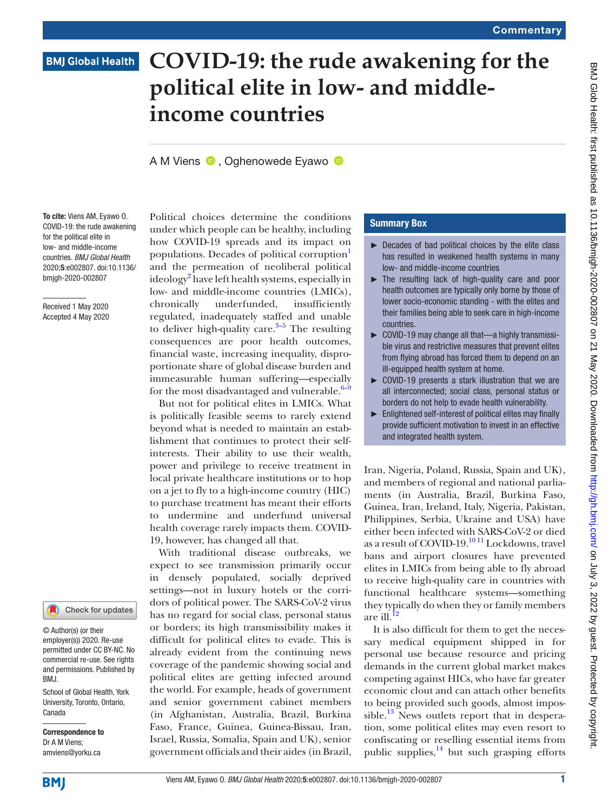## **BMJ Global Health**

# **COVID-19: the rude awakening for the political elite in low- and middleincome countries**

AM Viens **D**, Oghenowede Eyawo **D** 

To cite: Viens AM, Eyawo O. COVID-19: the rude awakening for the political elite in low- and middle-income countries. *BMJ Global Health* 2020;5:e002807. doi:10.1136/ bmjgh-2020-002807

Received 1 May 2020 Accepted 4 May 2020

O Check for updates

© Author(s) (or their employer(s)) 2020. Re-use permitted under CC BY-NC. No commercial re-use. See rights and permissions. Published by BMJ.

School of Global Health, York University, Toronto, Ontario, Canada

Correspondence to Dr A M Viens; amviens@yorku.ca

Political choices determine the conditions under which people can be healthy, including how COVID-19 spreads and its impact on populations. Decades of political corruption<sup>[1](#page-1-0)</sup> and the permeation of neoliberal political ideology<sup>[2](#page-1-1)</sup> have left health systems, especially in low- and middle-income countries (LMICs), chronically underfunded, insufficiently regulated, inadequately staffed and unable to deliver high-quality care. $3-5$  The resulting consequences are poor health outcomes, financial waste, increasing inequality, disproportionate share of global disease burden and immeasurable human suffering—especially for the most disadvantaged and vulnerable. $6-9$ 

But not for political elites in LMICs. What is politically feasible seems to rarely extend beyond what is needed to maintain an establishment that continues to protect their selfinterests. Their ability to use their wealth, power and privilege to receive treatment in local private healthcare institutions or to hop on a jet to fly to a high-income country (HIC) to purchase treatment has meant their efforts to undermine and underfund universal health coverage rarely impacts them. COVID-19, however, has changed all that.

With traditional disease outbreaks, we expect to see transmission primarily occur in densely populated, socially deprived settings—not in luxury hotels or the corridors of political power. The SARS-CoV-2 virus has no regard for social class, personal status or borders; its high transmissibility makes it difficult for political elites to evade. This is already evident from the continuing news coverage of the pandemic showing social and political elites are getting infected around the world. For example, heads of government and senior government cabinet members (in Afghanistan, Australia, Brazil, Burkina Faso, France, Guinea, Guinea-Bissau, Iran, Israel, Russia, Somalia, Spain and UK), senior government officials and their aides (in Brazil,

### Summary Box

- ► Decades of bad political choices by the elite class has resulted in weakened health systems in many low- and middle-income countries
- ► The resulting lack of high-quality care and poor health outcomes are typically only borne by those of lower socio-economic standing - with the elites and their families being able to seek care in high-income countries.
- ► COVID-19 may change all that—a highly transmissible virus and restrictive measures that prevent elites from flying abroad has forced them to depend on an ill-equipped health system at home.
- ► COVID-19 presents a stark illustration that we are all interconnected; social class, personal status or borders do not help to evade health vulnerability.
- ► Enlightened self-interest of political elites may finally provide sufficient motivation to invest in an effective and integrated health system.

Iran, Nigeria, Poland, Russia, Spain and UK), and members of regional and national parliaments (in Australia, Brazil, Burkina Faso, Guinea, Iran, Ireland, Italy, Nigeria, Pakistan, Philippines, Serbia, Ukraine and USA) have either been infected with SARS-CoV-2 or died as a result of COVID-19. $^{10\,11}$  Lockdowns, travel bans and airport closures have prevented elites in LMICs from being able to fly abroad to receive high-quality care in countries with functional healthcare systems—something they typically do when they or family members are ill.

It is also difficult for them to get the necessary medical equipment shipped in for personal use because resource and pricing demands in the current global market makes competing against HICs, who have far greater economic clout and can attach other benefits to being provided such goods, almost impos-sible.<sup>[13](#page-1-6)</sup> News outlets report that in desperation, some political elites may even resort to confiscating or reselling essential items from public supplies, $14$  but such grasping efforts